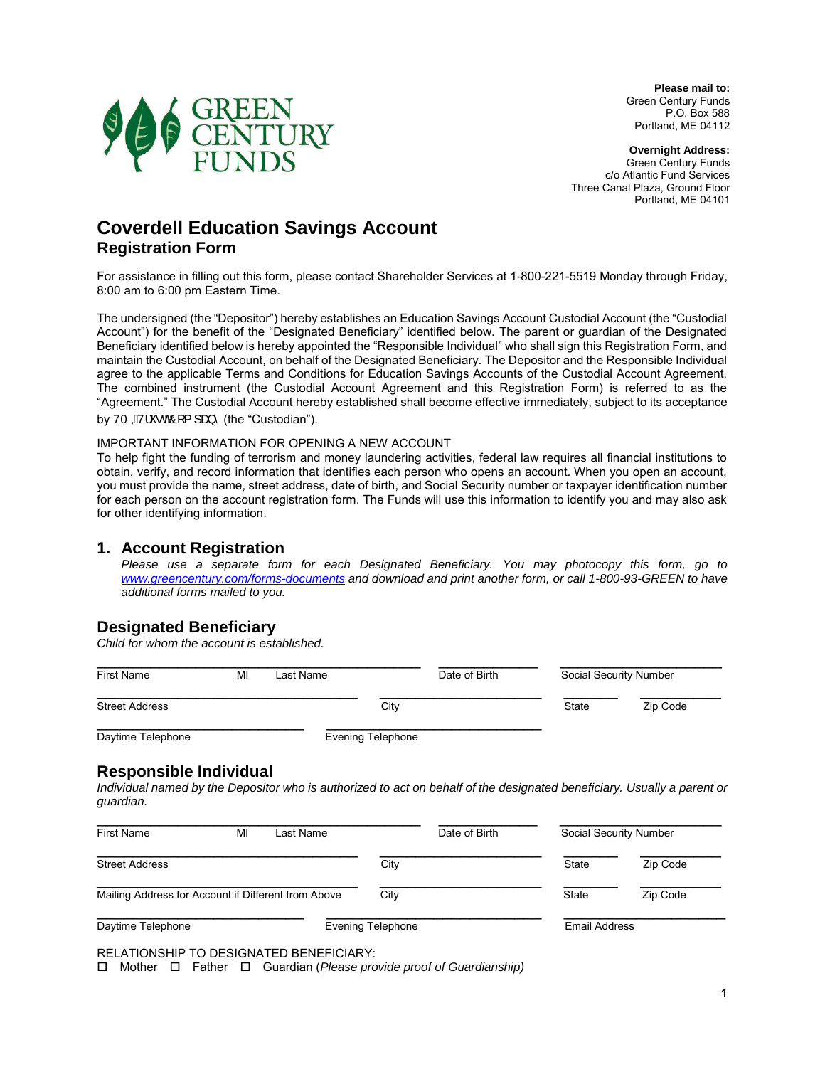

**Please mail to:** Green Century Funds P.O. Box 588 Portland, ME 04112

**Overnight Address:** Green Century Funds c/o Atlantic Fund Services Three Canal Plaza, Ground Floor Portland, ME 04101

# **Coverdell Education Savings Account Registration Form**

For assistance in filling out this form, please contact Shareholder Services at 1-800-221-5519 Monday through Friday, 8:00 am to 6:00 pm Eastern Time.

The undersigned (the "Depositor") hereby establishes an Education Savings Account Custodial Account (the "Custodial Account") for the benefit of the "Designated Beneficiary" identified below. The parent or guardian of the Designated Beneficiary identified below is hereby appointed the "Responsible Individual" who shall sign this Registration Form, and maintain the Custodial Account, on behalf of the Designated Beneficiary. The Depositor and the Responsible Individual agree to the applicable Terms and Conditions for Education Savings Accounts of the Custodial Account Agreement. The combined instrument (the Custodial Account Agreement and this Registration Form) is referred to as the "Agreement." The Custodial Account hereby established shall become effective immediately, subject to its acceptance by VT  $\vec{Q}$ <sup>V</sup> $\cdot$   $\cdot$   $\vec{Q}$ <sup>O</sup> $\cdot$   $\cdot$  and  $\cdot$  (the "Custodian").

#### IMPORTANT INFORMATION FOR OPENING A NEW ACCOUNT

To help fight the funding of terrorism and money laundering activities, federal law requires all financial institutions to obtain, verify, and record information that identifies each person who opens an account. When you open an account, you must provide the name, street address, date of birth, and Social Security number or taxpayer identification number for each person on the account registration form. The Funds will use this information to identify you and may also ask for other identifying information.

#### **1. Account Registration**

*Please use a separate form for each Designated Beneficiary. You may photocopy this form, go to [www.greencentury.com/forms-documents](http://www.greencentury.com/forms-documents) and download and print another form, or call 1-800-93-GREEN to have additional forms mailed to you.* 

#### **Designated Beneficiary**

*Child for whom the account is established.*

| <b>First Name</b>     | MI | Last Name         | Date of Birth | Social Security Number |          |
|-----------------------|----|-------------------|---------------|------------------------|----------|
| <b>Street Address</b> |    | City              |               | State                  | Zip Code |
| Davtime Telephone     |    | Evening Telephone |               |                        |          |

#### **Responsible Individual**

*Individual named by the Depositor who is authorized to act on behalf of the designated beneficiary. Usually a parent or guardian.* 

| <b>First Name</b>                                   | MI | Last Name |                          | Date of Birth |               | Social Security Number |
|-----------------------------------------------------|----|-----------|--------------------------|---------------|---------------|------------------------|
| <b>Street Address</b>                               |    |           | City                     |               | State         | Zip Code               |
| Mailing Address for Account if Different from Above |    | City      |                          | State         | Zip Code      |                        |
| Daytime Telephone                                   |    |           | <b>Evening Telephone</b> |               | Email Address |                        |

RELATIONSHIP TO DESIGNATED BENEFICIARY:

MotherFatherGuardian (*Please provide proof of Guardianship)*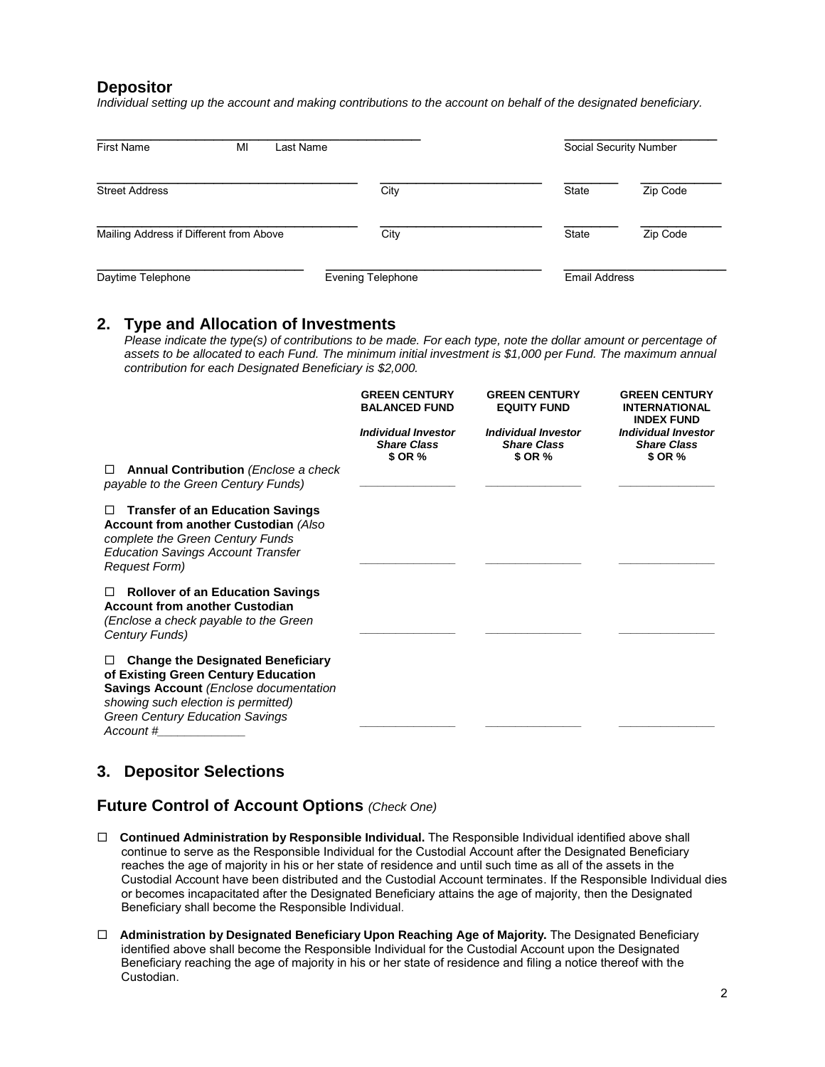#### **Depositor**

*Individual setting up the account and making contributions to the account on behalf of the designated beneficiary.* 

| <b>First Name</b><br>MI                 | Last Name         |              | Social Security Number |  |
|-----------------------------------------|-------------------|--------------|------------------------|--|
| <b>Street Address</b>                   | City              | State        | Zip Code               |  |
| Mailing Address if Different from Above | City              | <b>State</b> | Zip Code               |  |
| Daytime Telephone                       | Evening Telephone |              | <b>Email Address</b>   |  |

#### **2. Type and Allocation of Investments**

*Please indicate the type(s) of contributions to be made. For each type, note the dollar amount or percentage of assets to be allocated to each Fund. The minimum initial investment is \$1,000 per Fund. The maximum annual contribution for each Designated Beneficiary is \$2,000.* 

|                                                                                                                                                                                                                                     | <b>GREEN CENTURY</b><br><b>BALANCED FUND</b>                | <b>GREEN CENTURY</b><br><b>EQUITY FUND</b>                  | <b>GREEN CENTURY</b><br><b>INTERNATIONAL</b><br><b>INDEX FUND</b> |
|-------------------------------------------------------------------------------------------------------------------------------------------------------------------------------------------------------------------------------------|-------------------------------------------------------------|-------------------------------------------------------------|-------------------------------------------------------------------|
|                                                                                                                                                                                                                                     | <b>Individual Investor</b><br><b>Share Class</b><br>\$ OR % | <b>Individual Investor</b><br><b>Share Class</b><br>\$ OR % | <b>Individual Investor</b><br><b>Share Class</b><br>\$ OR %       |
| <b>Annual Contribution</b> ( <i>Enclose a check</i><br>□<br>payable to the Green Century Funds)                                                                                                                                     |                                                             |                                                             |                                                                   |
| <b>Transfer of an Education Savings</b><br>□<br>Account from another Custodian (Also<br>complete the Green Century Funds<br><b>Education Savings Account Transfer</b><br><b>Request Form)</b>                                       |                                                             |                                                             |                                                                   |
| <b>Rollover of an Education Savings</b><br>□<br><b>Account from another Custodian</b><br>(Enclose a check payable to the Green<br>Century Funds)                                                                                    |                                                             |                                                             |                                                                   |
| <b>Change the Designated Beneficiary</b><br>□<br>of Existing Green Century Education<br><b>Savings Account (Enclose documentation</b><br>showing such election is permitted)<br><b>Green Century Education Savings</b><br>Account # |                                                             |                                                             |                                                                   |

### **3. Depositor Selections**

### **Future Control of Account Options** *(Check One)*

- **Continued Administration by Responsible Individual.** The Responsible Individual identified above shall continue to serve as the Responsible Individual for the Custodial Account after the Designated Beneficiary reaches the age of majority in his or her state of residence and until such time as all of the assets in the Custodial Account have been distributed and the Custodial Account terminates. If the Responsible Individual dies or becomes incapacitated after the Designated Beneficiary attains the age of majority, then the Designated Beneficiary shall become the Responsible Individual.
- **Administration by Designated Beneficiary Upon Reaching Age of Majority.** The Designated Beneficiary identified above shall become the Responsible Individual for the Custodial Account upon the Designated Beneficiary reaching the age of majority in his or her state of residence and filing a notice thereof with the Custodian.